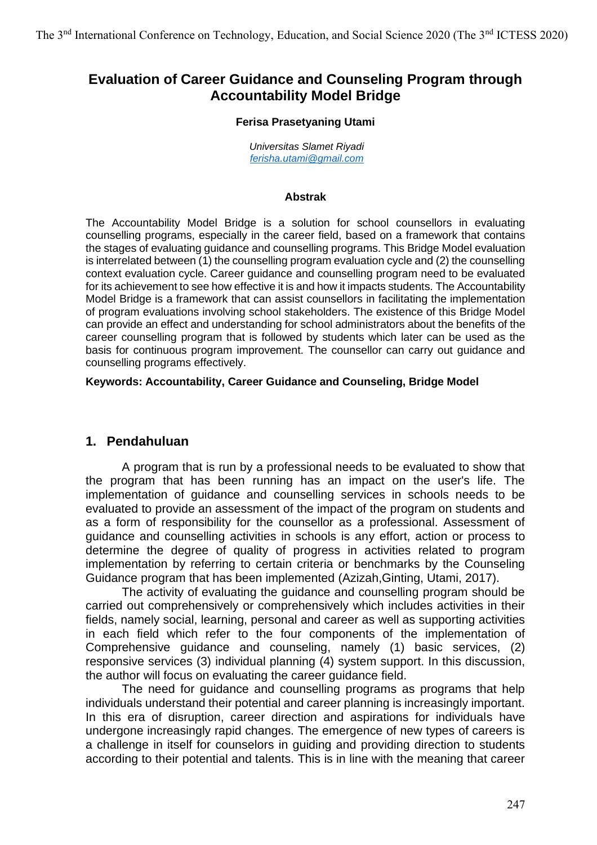# **Evaluation of Career Guidance and Counseling Program through Accountability Model Bridge**

#### **Ferisa Prasetyaning Utami**

*Universitas Slamet Riyadi [ferisha.utami@gmail.com](mailto:ferisha.utami@gmail.com)*

#### **Abstrak**

The Accountability Model Bridge is a solution for school counsellors in evaluating counselling programs, especially in the career field, based on a framework that contains the stages of evaluating guidance and counselling programs. This Bridge Model evaluation is interrelated between (1) the counselling program evaluation cycle and (2) the counselling context evaluation cycle. Career guidance and counselling program need to be evaluated for its achievement to see how effective it is and how it impacts students. The Accountability Model Bridge is a framework that can assist counsellors in facilitating the implementation of program evaluations involving school stakeholders. The existence of this Bridge Model can provide an effect and understanding for school administrators about the benefits of the career counselling program that is followed by students which later can be used as the basis for continuous program improvement. The counsellor can carry out guidance and counselling programs effectively.

### **Keywords: Accountability, Career Guidance and Counseling, Bridge Model**

# **1. Pendahuluan**

A program that is run by a professional needs to be evaluated to show that the program that has been running has an impact on the user's life. The implementation of guidance and counselling services in schools needs to be evaluated to provide an assessment of the impact of the program on students and as a form of responsibility for the counsellor as a professional. Assessment of guidance and counselling activities in schools is any effort, action or process to determine the degree of quality of progress in activities related to program implementation by referring to certain criteria or benchmarks by the Counseling Guidance program that has been implemented (Azizah,Ginting, Utami, 2017).

The activity of evaluating the guidance and counselling program should be carried out comprehensively or comprehensively which includes activities in their fields, namely social, learning, personal and career as well as supporting activities in each field which refer to the four components of the implementation of Comprehensive guidance and counseling, namely (1) basic services, (2) responsive services (3) individual planning (4) system support. In this discussion, the author will focus on evaluating the career guidance field.

The need for guidance and counselling programs as programs that help individuals understand their potential and career planning is increasingly important. In this era of disruption, career direction and aspirations for individuals have undergone increasingly rapid changes. The emergence of new types of careers is a challenge in itself for counselors in guiding and providing direction to students according to their potential and talents. This is in line with the meaning that career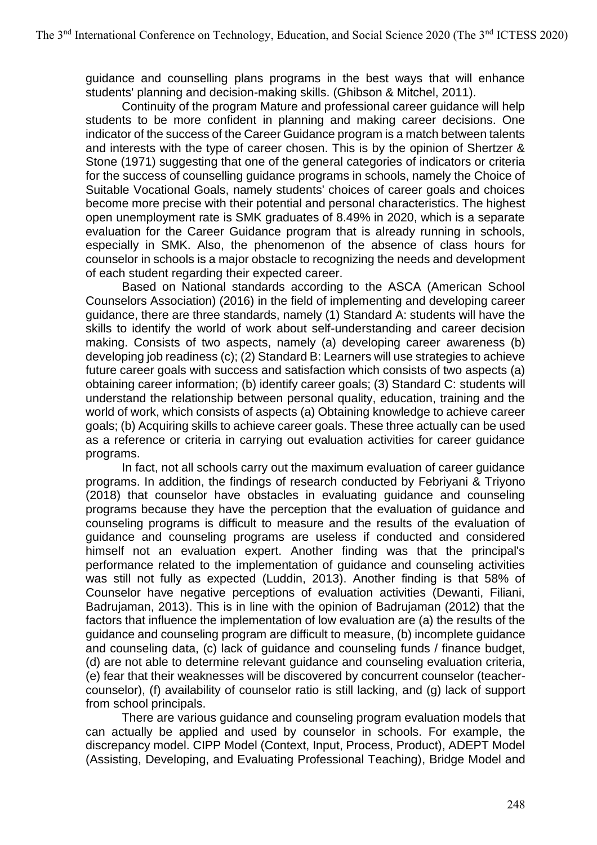guidance and counselling plans programs in the best ways that will enhance students' planning and decision-making skills. (Ghibson & Mitchel, 2011).

Continuity of the program Mature and professional career guidance will help students to be more confident in planning and making career decisions. One indicator of the success of the Career Guidance program is a match between talents and interests with the type of career chosen. This is by the opinion of Shertzer & Stone (1971) suggesting that one of the general categories of indicators or criteria for the success of counselling guidance programs in schools, namely the Choice of Suitable Vocational Goals, namely students' choices of career goals and choices become more precise with their potential and personal characteristics. The highest open unemployment rate is SMK graduates of 8.49% in 2020, which is a separate evaluation for the Career Guidance program that is already running in schools, especially in SMK. Also, the phenomenon of the absence of class hours for counselor in schools is a major obstacle to recognizing the needs and development of each student regarding their expected career.

Based on National standards according to the ASCA (American School Counselors Association) (2016) in the field of implementing and developing career guidance, there are three standards, namely (1) Standard A: students will have the skills to identify the world of work about self-understanding and career decision making. Consists of two aspects, namely (a) developing career awareness (b) developing job readiness (c); (2) Standard B: Learners will use strategies to achieve future career goals with success and satisfaction which consists of two aspects (a) obtaining career information; (b) identify career goals; (3) Standard C: students will understand the relationship between personal quality, education, training and the world of work, which consists of aspects (a) Obtaining knowledge to achieve career goals; (b) Acquiring skills to achieve career goals. These three actually can be used as a reference or criteria in carrying out evaluation activities for career guidance programs.

In fact, not all schools carry out the maximum evaluation of career guidance programs. In addition, the findings of research conducted by Febriyani & Triyono (2018) that counselor have obstacles in evaluating guidance and counseling programs because they have the perception that the evaluation of guidance and counseling programs is difficult to measure and the results of the evaluation of guidance and counseling programs are useless if conducted and considered himself not an evaluation expert. Another finding was that the principal's performance related to the implementation of guidance and counseling activities was still not fully as expected (Luddin, 2013). Another finding is that 58% of Counselor have negative perceptions of evaluation activities (Dewanti, Filiani, Badrujaman, 2013). This is in line with the opinion of Badrujaman (2012) that the factors that influence the implementation of low evaluation are (a) the results of the guidance and counseling program are difficult to measure, (b) incomplete guidance and counseling data, (c) lack of guidance and counseling funds / finance budget, (d) are not able to determine relevant guidance and counseling evaluation criteria, (e) fear that their weaknesses will be discovered by concurrent counselor (teachercounselor), (f) availability of counselor ratio is still lacking, and (g) lack of support from school principals.

There are various guidance and counseling program evaluation models that can actually be applied and used by counselor in schools. For example, the discrepancy model. CIPP Model (Context, Input, Process, Product), ADEPT Model (Assisting, Developing, and Evaluating Professional Teaching), Bridge Model and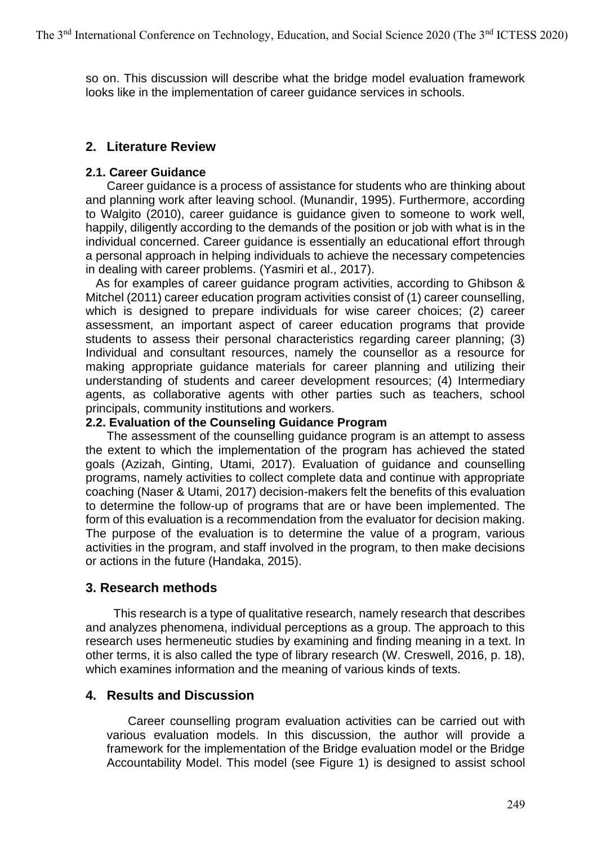so on. This discussion will describe what the bridge model evaluation framework looks like in the implementation of career guidance services in schools.

# **2. Literature Review**

## **2.1. Career Guidance**

Career guidance is a process of assistance for students who are thinking about and planning work after leaving school. (Munandir, 1995). Furthermore, according to Walgito (2010), career guidance is guidance given to someone to work well, happily, diligently according to the demands of the position or job with what is in the individual concerned. Career guidance is essentially an educational effort through a personal approach in helping individuals to achieve the necessary competencies in dealing with career problems. (Yasmiri et al., 2017).

 As for examples of career guidance program activities, according to Ghibson & Mitchel (2011) career education program activities consist of (1) career counselling, which is designed to prepare individuals for wise career choices; (2) career assessment, an important aspect of career education programs that provide students to assess their personal characteristics regarding career planning; (3) Individual and consultant resources, namely the counsellor as a resource for making appropriate guidance materials for career planning and utilizing their understanding of students and career development resources; (4) Intermediary agents, as collaborative agents with other parties such as teachers, school principals, community institutions and workers.

### **2.2. Evaluation of the Counseling Guidance Program**

The assessment of the counselling guidance program is an attempt to assess the extent to which the implementation of the program has achieved the stated goals (Azizah, Ginting, Utami, 2017). Evaluation of guidance and counselling programs, namely activities to collect complete data and continue with appropriate coaching (Naser & Utami, 2017) decision-makers felt the benefits of this evaluation to determine the follow-up of programs that are or have been implemented. The form of this evaluation is a recommendation from the evaluator for decision making. The purpose of the evaluation is to determine the value of a program, various activities in the program, and staff involved in the program, to then make decisions or actions in the future (Handaka, 2015).

# **3. Research methods**

 This research is a type of qualitative research, namely research that describes and analyzes phenomena, individual perceptions as a group. The approach to this research uses hermeneutic studies by examining and finding meaning in a text. In other terms, it is also called the type of library research (W. Creswell, 2016, p. 18), which examines information and the meaning of various kinds of texts.

# **4. Results and Discussion**

Career counselling program evaluation activities can be carried out with various evaluation models. In this discussion, the author will provide a framework for the implementation of the Bridge evaluation model or the Bridge Accountability Model. This model (see Figure 1) is designed to assist school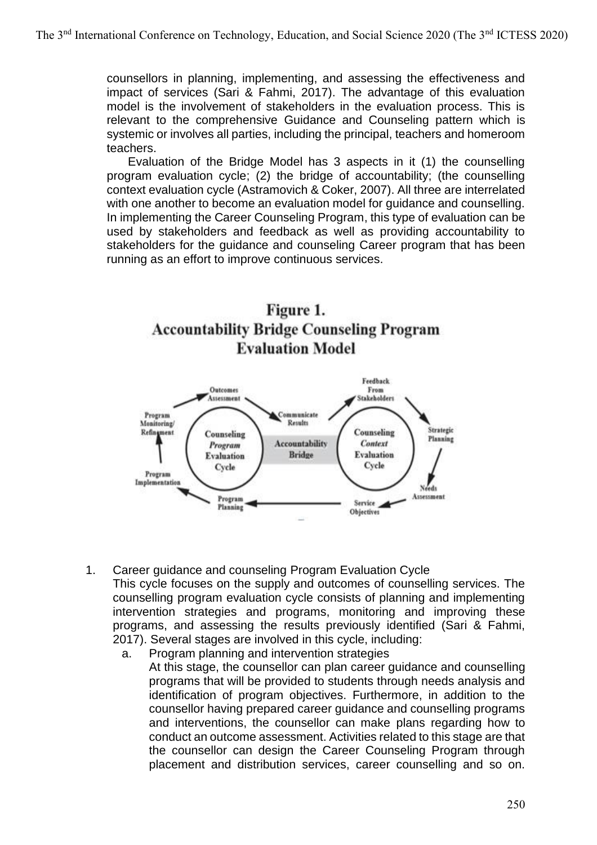counsellors in planning, implementing, and assessing the effectiveness and impact of services (Sari & Fahmi, 2017). The advantage of this evaluation model is the involvement of stakeholders in the evaluation process. This is relevant to the comprehensive Guidance and Counseling pattern which is systemic or involves all parties, including the principal, teachers and homeroom teachers.

Evaluation of the Bridge Model has 3 aspects in it (1) the counselling program evaluation cycle; (2) the bridge of accountability; (the counselling context evaluation cycle (Astramovich & Coker, 2007). All three are interrelated with one another to become an evaluation model for guidance and counselling. In implementing the Career Counseling Program, this type of evaluation can be used by stakeholders and feedback as well as providing accountability to stakeholders for the guidance and counseling Career program that has been running as an effort to improve continuous services.





- 1. Career guidance and counseling Program Evaluation Cycle This cycle focuses on the supply and outcomes of counselling services. The counselling program evaluation cycle consists of planning and implementing intervention strategies and programs, monitoring and improving these programs, and assessing the results previously identified (Sari & Fahmi, 2017). Several stages are involved in this cycle, including:
	- a. Program planning and intervention strategies At this stage, the counsellor can plan career guidance and counselling programs that will be provided to students through needs analysis and identification of program objectives. Furthermore, in addition to the counsellor having prepared career guidance and counselling programs and interventions, the counsellor can make plans regarding how to conduct an outcome assessment. Activities related to this stage are that the counsellor can design the Career Counseling Program through placement and distribution services, career counselling and so on.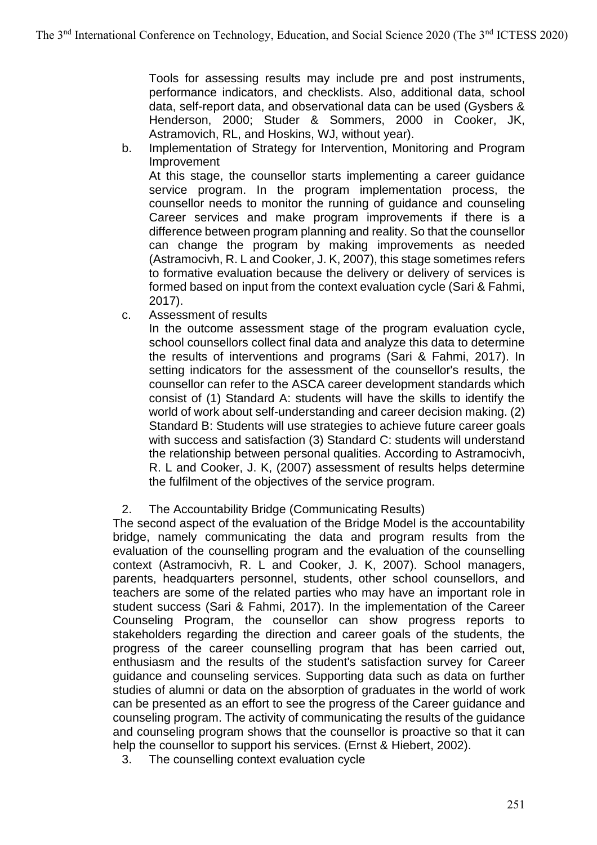Tools for assessing results may include pre and post instruments, performance indicators, and checklists. Also, additional data, school data, self-report data, and observational data can be used (Gysbers & Henderson, 2000; Studer & Sommers, 2000 in Cooker, JK, Astramovich, RL, and Hoskins, WJ, without year).

b. Implementation of Strategy for Intervention, Monitoring and Program Improvement

At this stage, the counsellor starts implementing a career guidance service program. In the program implementation process, the counsellor needs to monitor the running of guidance and counseling Career services and make program improvements if there is a difference between program planning and reality. So that the counsellor can change the program by making improvements as needed (Astramocivh, R. L and Cooker, J. K, 2007), this stage sometimes refers to formative evaluation because the delivery or delivery of services is formed based on input from the context evaluation cycle (Sari & Fahmi, 2017).

c. Assessment of results

In the outcome assessment stage of the program evaluation cycle, school counsellors collect final data and analyze this data to determine the results of interventions and programs (Sari & Fahmi, 2017). In setting indicators for the assessment of the counsellor's results, the counsellor can refer to the ASCA career development standards which consist of (1) Standard A: students will have the skills to identify the world of work about self-understanding and career decision making. (2) Standard B: Students will use strategies to achieve future career goals with success and satisfaction (3) Standard C: students will understand the relationship between personal qualities. According to Astramocivh, R. L and Cooker, J. K, (2007) assessment of results helps determine the fulfilment of the objectives of the service program.

2. The Accountability Bridge (Communicating Results)

The second aspect of the evaluation of the Bridge Model is the accountability bridge, namely communicating the data and program results from the evaluation of the counselling program and the evaluation of the counselling context (Astramocivh, R. L and Cooker, J. K, 2007). School managers, parents, headquarters personnel, students, other school counsellors, and teachers are some of the related parties who may have an important role in student success (Sari & Fahmi, 2017). In the implementation of the Career Counseling Program, the counsellor can show progress reports to stakeholders regarding the direction and career goals of the students, the progress of the career counselling program that has been carried out, enthusiasm and the results of the student's satisfaction survey for Career guidance and counseling services. Supporting data such as data on further studies of alumni or data on the absorption of graduates in the world of work can be presented as an effort to see the progress of the Career guidance and counseling program. The activity of communicating the results of the guidance and counseling program shows that the counsellor is proactive so that it can help the counsellor to support his services. (Ernst & Hiebert, 2002).

3. The counselling context evaluation cycle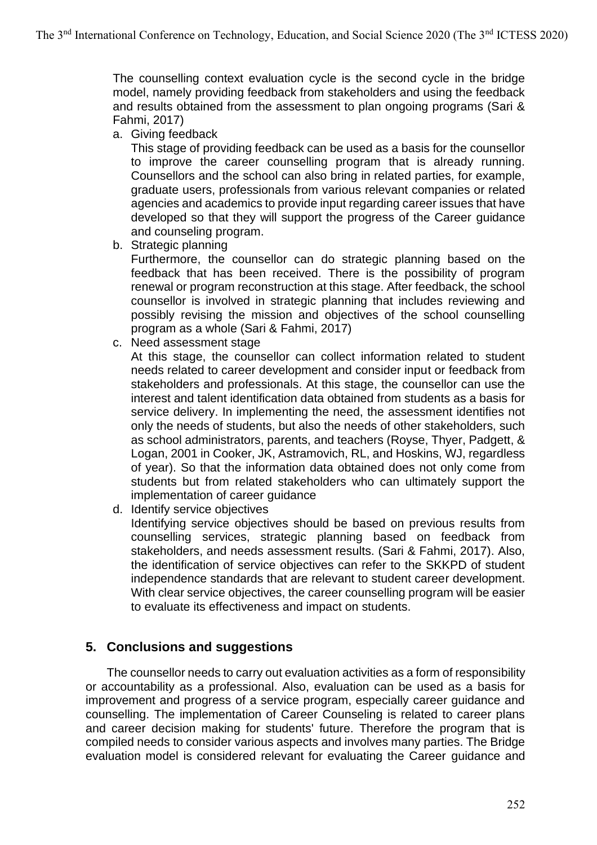The counselling context evaluation cycle is the second cycle in the bridge model, namely providing feedback from stakeholders and using the feedback and results obtained from the assessment to plan ongoing programs (Sari & Fahmi, 2017)

a. Giving feedback

This stage of providing feedback can be used as a basis for the counsellor to improve the career counselling program that is already running. Counsellors and the school can also bring in related parties, for example, graduate users, professionals from various relevant companies or related agencies and academics to provide input regarding career issues that have developed so that they will support the progress of the Career guidance and counseling program.

b. Strategic planning

Furthermore, the counsellor can do strategic planning based on the feedback that has been received. There is the possibility of program renewal or program reconstruction at this stage. After feedback, the school counsellor is involved in strategic planning that includes reviewing and possibly revising the mission and objectives of the school counselling program as a whole (Sari & Fahmi, 2017)

c. Need assessment stage

At this stage, the counsellor can collect information related to student needs related to career development and consider input or feedback from stakeholders and professionals. At this stage, the counsellor can use the interest and talent identification data obtained from students as a basis for service delivery. In implementing the need, the assessment identifies not only the needs of students, but also the needs of other stakeholders, such as school administrators, parents, and teachers (Royse, Thyer, Padgett, & Logan, 2001 in Cooker, JK, Astramovich, RL, and Hoskins, WJ, regardless of year). So that the information data obtained does not only come from students but from related stakeholders who can ultimately support the implementation of career guidance

d. Identify service objectives

Identifying service objectives should be based on previous results from counselling services, strategic planning based on feedback from stakeholders, and needs assessment results. (Sari & Fahmi, 2017). Also, the identification of service objectives can refer to the SKKPD of student independence standards that are relevant to student career development. With clear service objectives, the career counselling program will be easier to evaluate its effectiveness and impact on students.

# **5. Conclusions and suggestions**

The counsellor needs to carry out evaluation activities as a form of responsibility or accountability as a professional. Also, evaluation can be used as a basis for improvement and progress of a service program, especially career guidance and counselling. The implementation of Career Counseling is related to career plans and career decision making for students' future. Therefore the program that is compiled needs to consider various aspects and involves many parties. The Bridge evaluation model is considered relevant for evaluating the Career guidance and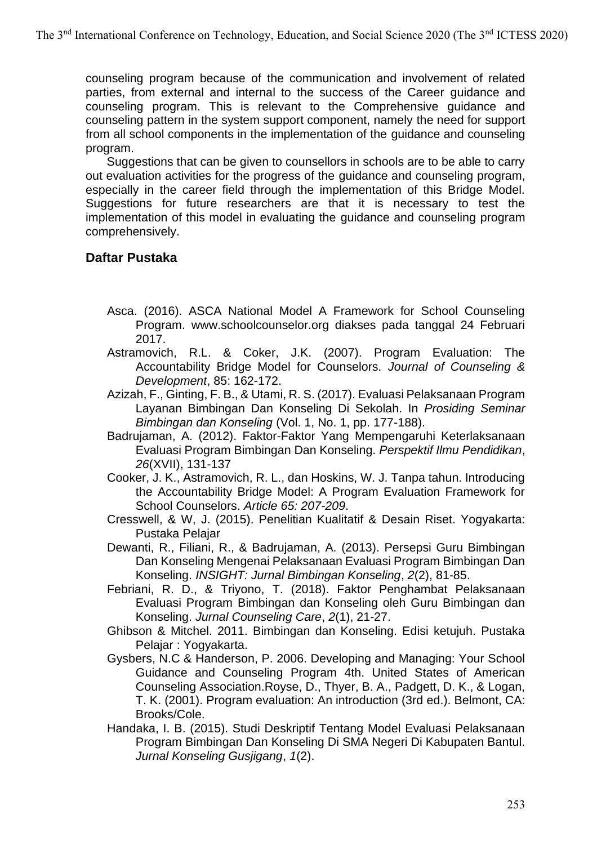counseling program because of the communication and involvement of related parties, from external and internal to the success of the Career guidance and counseling program. This is relevant to the Comprehensive guidance and counseling pattern in the system support component, namely the need for support from all school components in the implementation of the guidance and counseling program.

Suggestions that can be given to counsellors in schools are to be able to carry out evaluation activities for the progress of the guidance and counseling program, especially in the career field through the implementation of this Bridge Model. Suggestions for future researchers are that it is necessary to test the implementation of this model in evaluating the guidance and counseling program comprehensively.

# **Daftar Pustaka**

- Asca. (2016). ASCA National Model A Framework for School Counseling Program. www.schoolcounselor.org diakses pada tanggal 24 Februari 2017.
- Astramovich, R.L. & Coker, J.K. (2007). Program Evaluation: The Accountability Bridge Model for Counselors. *Journal of Counseling & Development*, 85: 162-172.
- Azizah, F., Ginting, F. B., & Utami, R. S. (2017). Evaluasi Pelaksanaan Program Layanan Bimbingan Dan Konseling Di Sekolah. In *Prosiding Seminar Bimbingan dan Konseling* (Vol. 1, No. 1, pp. 177-188).
- Badrujaman, A. (2012). Faktor-Faktor Yang Mempengaruhi Keterlaksanaan Evaluasi Program Bimbingan Dan Konseling. *Perspektif Ilmu Pendidikan*, *26*(XVII), 131-137
- Cooker, J. K., Astramovich, R. L., dan Hoskins, W. J. Tanpa tahun. Introducing the Accountability Bridge Model: A Program Evaluation Framework for School Counselors. *Article 65: 207-209*.
- Cresswell, & W, J. (2015). Penelitian Kualitatif & Desain Riset. Yogyakarta: Pustaka Pelajar
- Dewanti, R., Filiani, R., & Badrujaman, A. (2013). Persepsi Guru Bimbingan Dan Konseling Mengenai Pelaksanaan Evaluasi Program Bimbingan Dan Konseling. *INSIGHT: Jurnal Bimbingan Konseling*, *2*(2), 81-85.
- Febriani, R. D., & Triyono, T. (2018). Faktor Penghambat Pelaksanaan Evaluasi Program Bimbingan dan Konseling oleh Guru Bimbingan dan Konseling. *Jurnal Counseling Care*, *2*(1), 21-27.
- Ghibson & Mitchel. 2011. Bimbingan dan Konseling. Edisi ketujuh. Pustaka Pelajar : Yogyakarta.
- Gysbers, N.C & Handerson, P. 2006. Developing and Managing: Your School Guidance and Counseling Program 4th. United States of American Counseling Association.Royse, D., Thyer, B. A., Padgett, D. K., & Logan, T. K. (2001). Program evaluation: An introduction (3rd ed.). Belmont, CA: Brooks/Cole.
- Handaka, I. B. (2015). Studi Deskriptif Tentang Model Evaluasi Pelaksanaan Program Bimbingan Dan Konseling Di SMA Negeri Di Kabupaten Bantul. *Jurnal Konseling Gusjigang*, *1*(2).